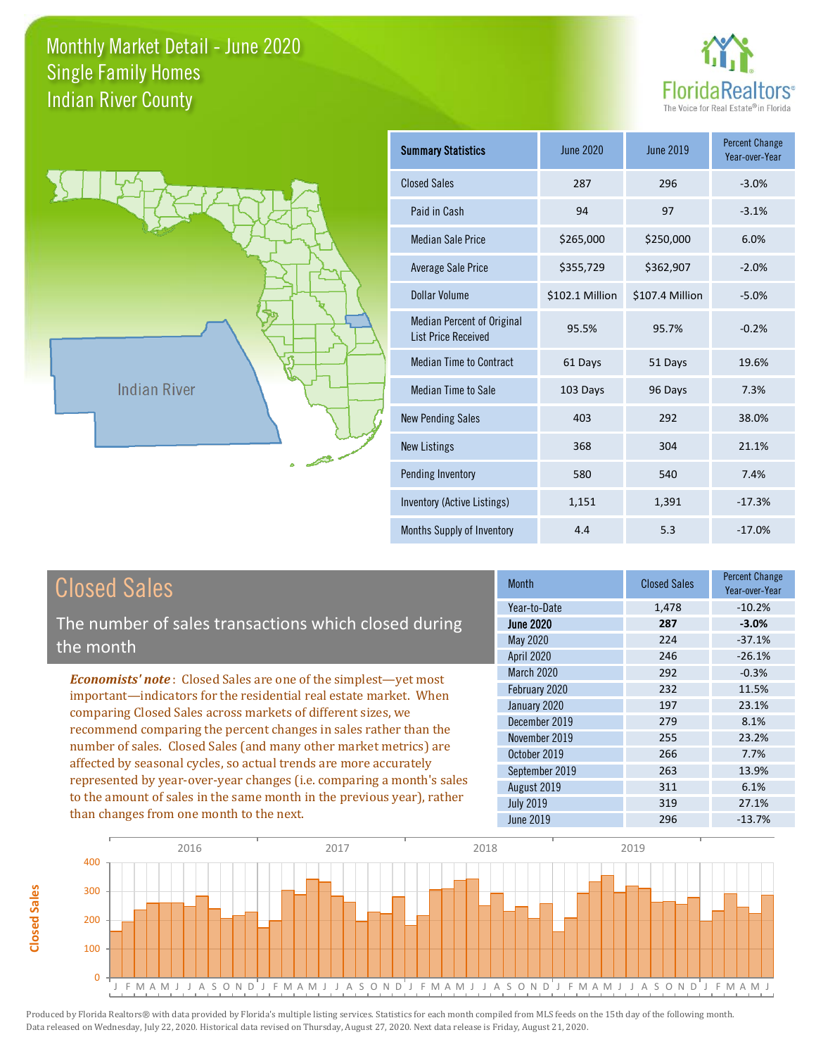



| <b>Summary Statistics</b>                                       | June 2020       | <b>June 2019</b> | <b>Percent Change</b><br>Year-over-Year |
|-----------------------------------------------------------------|-----------------|------------------|-----------------------------------------|
| <b>Closed Sales</b>                                             | 287             | 296              | $-3.0%$                                 |
| Paid in Cash                                                    | 94              | 97               | $-3.1%$                                 |
| <b>Median Sale Price</b>                                        | \$265,000       | \$250,000        | 6.0%                                    |
| Average Sale Price                                              | \$355,729       | \$362,907        | $-2.0%$                                 |
| Dollar Volume                                                   | \$102.1 Million | \$107.4 Million  | $-5.0%$                                 |
| <b>Median Percent of Original</b><br><b>List Price Received</b> | 95.5%           | 95.7%            | $-0.2%$                                 |
| <b>Median Time to Contract</b>                                  | 61 Days         | 51 Days          | 19.6%                                   |
| Median Time to Sale                                             | 103 Days        | 96 Days          | 7.3%                                    |
| <b>New Pending Sales</b>                                        | 403             | 292              | 38.0%                                   |
| <b>New Listings</b>                                             | 368             | 304              | 21.1%                                   |
| Pending Inventory                                               | 580             | 540              | 7.4%                                    |
| Inventory (Active Listings)                                     | 1,151           | 1,391            | $-17.3%$                                |
| Months Supply of Inventory                                      | 4.4             | 5.3              | $-17.0%$                                |

**Closed Sales**

**Closed Sales** 

The number of sales transactions which closed during the month

*Economists' note* : Closed Sales are one of the simplest—yet most important—indicators for the residential real estate market. When comparing Closed Sales across markets of different sizes, we recommend comparing the percent changes in sales rather than the number of sales. Closed Sales (and many other market metrics) are affected by seasonal cycles, so actual trends are more accurately represented by year-over-year changes (i.e. comparing a month's sales to the amount of sales in the same month in the previous year), rather than changes from one month to the next.

| <b>Month</b>     | <b>Closed Sales</b> | <b>Percent Change</b><br>Year-over-Year |
|------------------|---------------------|-----------------------------------------|
| Year-to-Date     | 1,478               | $-10.2%$                                |
| <b>June 2020</b> | 287                 | $-3.0%$                                 |
| May 2020         | 224                 | $-37.1%$                                |
| April 2020       | 246                 | $-26.1%$                                |
| March 2020       | 292                 | $-0.3%$                                 |
| February 2020    | 232                 | 11.5%                                   |
| January 2020     | 197                 | 23.1%                                   |
| December 2019    | 279                 | 8.1%                                    |
| November 2019    | 255                 | 23.2%                                   |
| October 2019     | 266                 | 7.7%                                    |
| September 2019   | 263                 | 13.9%                                   |
| August 2019      | 311                 | 6.1%                                    |
| <b>July 2019</b> | 319                 | 27.1%                                   |
| <b>June 2019</b> | 296                 | $-13.7%$                                |

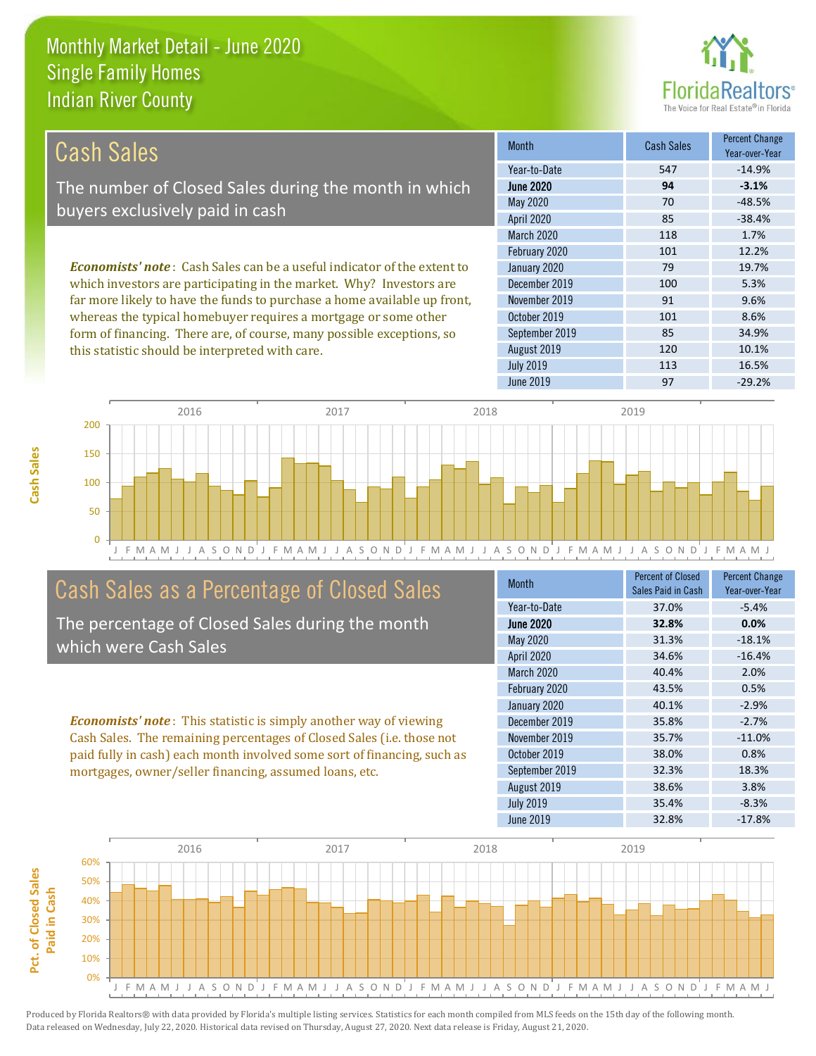this statistic should be interpreted with care.



120 10.1%

| Cash Sales                                                                      | <b>Month</b>      | <b>Cash Sales</b> | <b>Percent Change</b><br>Year-over-Year |
|---------------------------------------------------------------------------------|-------------------|-------------------|-----------------------------------------|
|                                                                                 | Year-to-Date      | 547               | $-14.9%$                                |
| The number of Closed Sales during the month in which                            | <b>June 2020</b>  | 94                | $-3.1%$                                 |
| buyers exclusively paid in cash                                                 | May 2020          | 70                | $-48.5%$                                |
|                                                                                 | <b>April 2020</b> | 85                | $-38.4%$                                |
|                                                                                 | <b>March 2020</b> | 118               | 1.7%                                    |
|                                                                                 | February 2020     | 101               | 12.2%                                   |
| <b>Economists' note</b> : Cash Sales can be a useful indicator of the extent to | January 2020      | 79                | 19.7%                                   |
| which investors are participating in the market. Why? Investors are             | December 2019     | 100               | 5.3%                                    |
| far more likely to have the funds to purchase a home available up front,        | November 2019     | 91                | 9.6%                                    |
| whereas the typical homebuyer requires a mortgage or some other                 | October 2019      | 101               | 8.6%                                    |
| form of financing. There are, of course, many possible exceptions, so           | September 2019    | 85                | 34.9%                                   |

J F M A M J J A S O N D J F M A M J J A S O N D J F M A M J J A S O N D J F M A M J J A S O N D J F M A M J 0 50 100 150 200 2016 2017 2018 2019

# Cash Sales as a Percentage of Closed Sales

The percentage of Closed Sales during the month which were Cash Sales

*Economists' note* : This statistic is simply another way of viewing Cash Sales. The remaining percentages of Closed Sales (i.e. those not paid fully in cash) each month involved some sort of financing, such as mortgages, owner/seller financing, assumed loans, etc.

| <b>Month</b>      | <b>Percent of Closed</b><br>Sales Paid in Cash | <b>Percent Change</b><br>Year-over-Year |
|-------------------|------------------------------------------------|-----------------------------------------|
| Year-to-Date      | 37.0%                                          | $-5.4%$                                 |
| <b>June 2020</b>  | 32.8%                                          | 0.0%                                    |
| <b>May 2020</b>   | 31.3%                                          | $-18.1%$                                |
| <b>April 2020</b> | 34.6%                                          | $-16.4%$                                |
| March 2020        | 40.4%                                          | 2.0%                                    |
| February 2020     | 43.5%                                          | 0.5%                                    |
| January 2020      | 40.1%                                          | $-2.9%$                                 |
| December 2019     | 35.8%                                          | $-2.7%$                                 |
| November 2019     | 35.7%                                          | $-11.0%$                                |
| October 2019      | 38.0%                                          | 0.8%                                    |
| September 2019    | 32.3%                                          | 18.3%                                   |
| August 2019       | 38.6%                                          | 3.8%                                    |
| <b>July 2019</b>  | 35.4%                                          | $-8.3%$                                 |
| <b>June 2019</b>  | 32.8%                                          | $-17.8%$                                |

June 2019 **97** -29.2%

July 2019 113 16.5%

August 2019

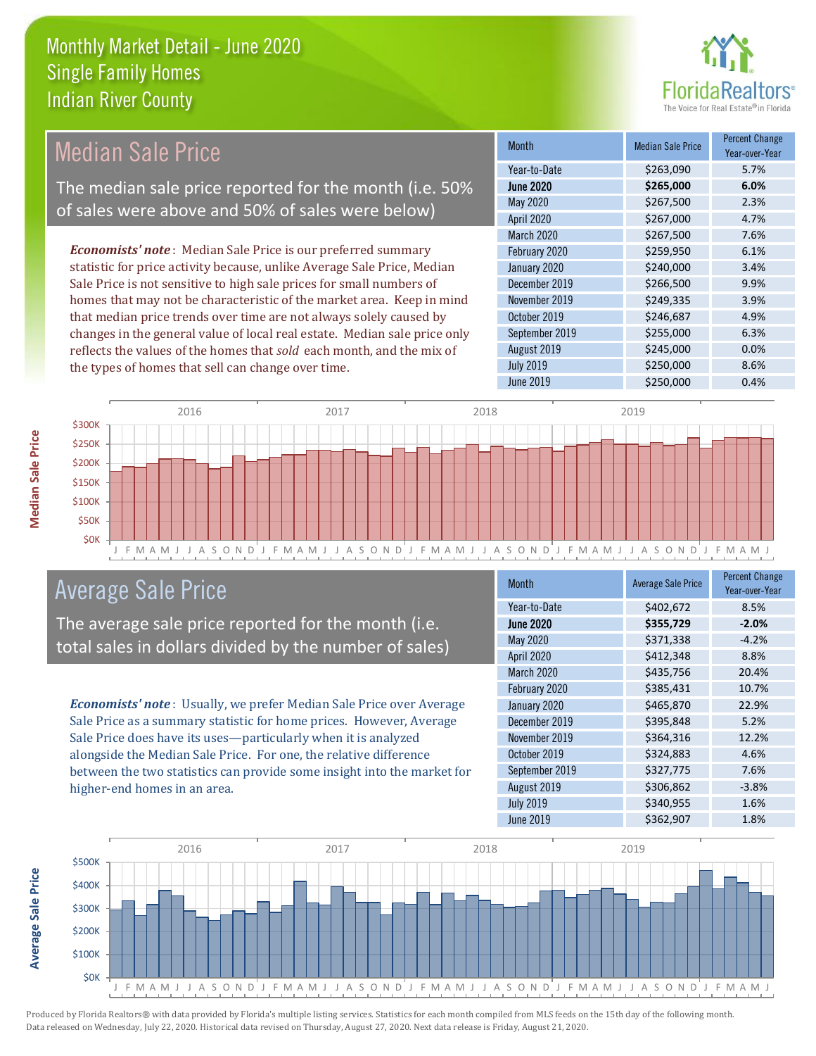

#### Month Median Sale Price Percent Change Year-over-Year June 2020 **\$265,000 6.0%** Year-to-Date \$263,090 5.7% November 2019 **\$249,335** 3.9% May 2020 \$267,500 2.3% April 2020 \$267,000 4.7% January 2020 **\$240,000** \$240,000 3.4% December 2019 **\$266,500** 9.9% March 2020 \$267,500 7.6% February 2020 \$259,950 6.1% October 2019 **\$246,687** 4.9% September 2019 **\$255,000** 6.3% August 2019 **\$245,000 0.0%** July 2019 **\$250,000** \$250,000 8.6% June 2019 **\$250,000** \$250,000 **0.4%** *Economists' note* : Median Sale Price is our preferred summary statistic for price activity because, unlike Average Sale Price, Median Sale Price is not sensitive to high sale prices for small numbers of homes that may not be characteristic of the market area. Keep in mind that median price trends over time are not always solely caused by changes in the general value of local real estate. Median sale price only reflects the values of the homes that *sold* each month, and the mix of the types of homes that sell can change over time. Median Sale Price The median sale price reported for the month (i.e. 50% of sales were above and 50% of sales were below)



# Average Sale Price

The average sale price reported for the month (i.e. total sales in dollars divided by the number of sales)

*Economists' note* : Usually, we prefer Median Sale Price over Average Sale Price as a summary statistic for home prices. However, Average Sale Price does have its uses—particularly when it is analyzed alongside the Median Sale Price. For one, the relative difference between the two statistics can provide some insight into the market for higher-end homes in an area.

| <b>Month</b>      | <b>Average Sale Price</b> | <b>Percent Change</b><br>Year-over-Year |
|-------------------|---------------------------|-----------------------------------------|
| Year-to-Date      | \$402,672                 | 8.5%                                    |
| <b>June 2020</b>  | \$355,729                 | $-2.0%$                                 |
| May 2020          | \$371,338                 | $-4.2%$                                 |
| <b>April 2020</b> | \$412,348                 | 8.8%                                    |
| March 2020        | \$435,756                 | 20.4%                                   |
| February 2020     | \$385,431                 | 10.7%                                   |
| January 2020      | \$465,870                 | 22.9%                                   |
| December 2019     | \$395,848                 | 5.2%                                    |
| November 2019     | \$364,316                 | 12.2%                                   |
| October 2019      | \$324,883                 | 4.6%                                    |
| September 2019    | \$327,775                 | 7.6%                                    |
| August 2019       | \$306,862                 | $-3.8%$                                 |
| <b>July 2019</b>  | \$340,955                 | 1.6%                                    |
| <b>June 2019</b>  | \$362,907                 | 1.8%                                    |

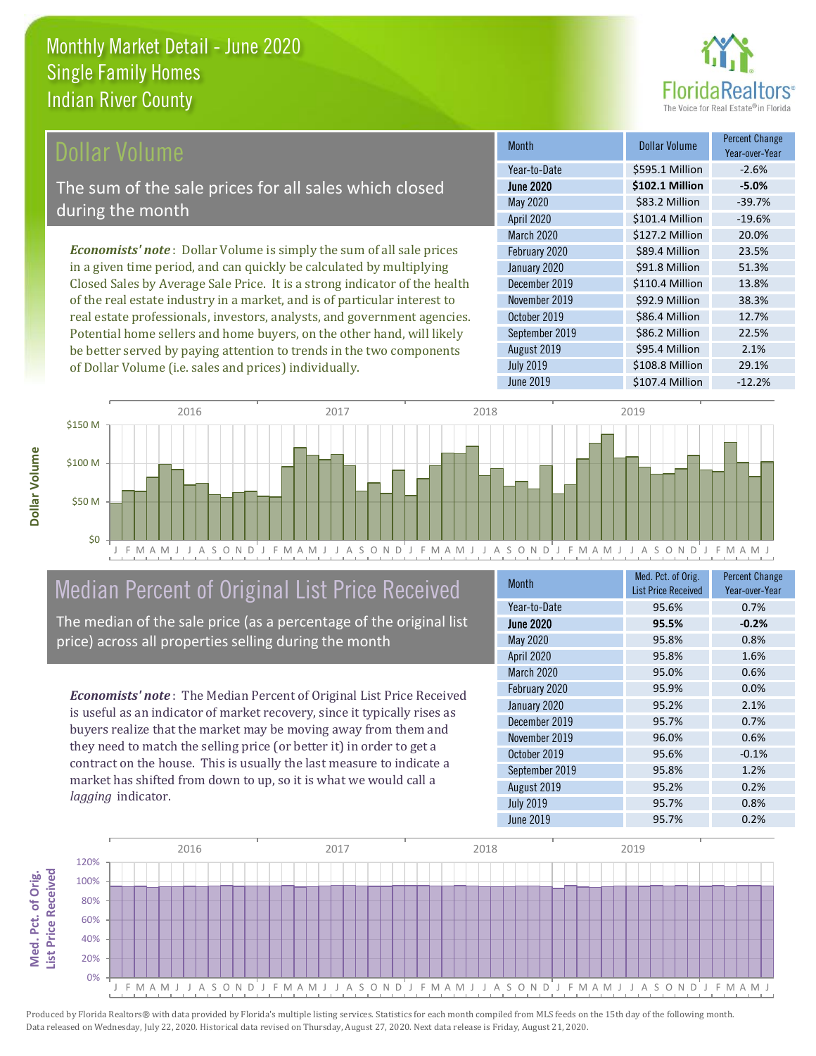

Year-over-Year

38.3%

\$86.2 Million 22.5%

\$95.4 Million 2.1%

Month **Dollar Volume** Percent Change

June 2020 **\$102.1 Million -5.0%** Year-to-Date \$595.1 Million -2.6%

May 2020 \$83.2 Million -39.7% April 2020 \$101.4 Million -19.6%

March 2020 <br>
S127.2 Million 20.0% February 2020 <br>
589.4 Million 23.5% January 2020 **\$91.8 Million** 51.3% December 2019 **\$110.4 Million** 13.8%

June 2019 **\$107.4 Million** -12.2%

July 2019 **\$108.8 Million** 29.1%

October 2019 **\$86.4 Million** 12.7%

November 2019 **\$92.9 Million** 

August 2019

September 2019

### **Ollar Volume**

The sum of the sale prices for all sales which closed during the month

*Economists' note* : Dollar Volume is simply the sum of all sale prices in a given time period, and can quickly be calculated by multiplying Closed Sales by Average Sale Price. It is a strong indicator of the health of the real estate industry in a market, and is of particular interest to real estate professionals, investors, analysts, and government agencies. Potential home sellers and home buyers, on the other hand, will likely be better served by paying attention to trends in the two components of Dollar Volume (i.e. sales and prices) individually.



# Median Percent of Original List Price Received

The median of the sale price (as a percentage of the original list price) across all properties selling during the month

*Economists' note* : The Median Percent of Original List Price Received is useful as an indicator of market recovery, since it typically rises as buyers realize that the market may be moving away from them and they need to match the selling price (or better it) in order to get a contract on the house. This is usually the last measure to indicate a market has shifted from down to up, so it is what we would call a *lagging* indicator.

| <b>Month</b>      | Med. Pct. of Orig.<br><b>List Price Received</b> | <b>Percent Change</b><br>Year-over-Year |
|-------------------|--------------------------------------------------|-----------------------------------------|
| Year-to-Date      | 95.6%                                            | 0.7%                                    |
| <b>June 2020</b>  | 95.5%                                            | $-0.2%$                                 |
| <b>May 2020</b>   | 95.8%                                            | 0.8%                                    |
| <b>April 2020</b> | 95.8%                                            | 1.6%                                    |
| March 2020        | 95.0%                                            | 0.6%                                    |
| February 2020     | 95.9%                                            | 0.0%                                    |
| January 2020      | 95.2%                                            | 2.1%                                    |
| December 2019     | 95.7%                                            | 0.7%                                    |
| November 2019     | 96.0%                                            | 0.6%                                    |
| October 2019      | 95.6%                                            | $-0.1%$                                 |
| September 2019    | 95.8%                                            | 1.2%                                    |
| August 2019       | 95.2%                                            | 0.2%                                    |
| <b>July 2019</b>  | 95.7%                                            | 0.8%                                    |
| <b>June 2019</b>  | 95.7%                                            | 0.2%                                    |

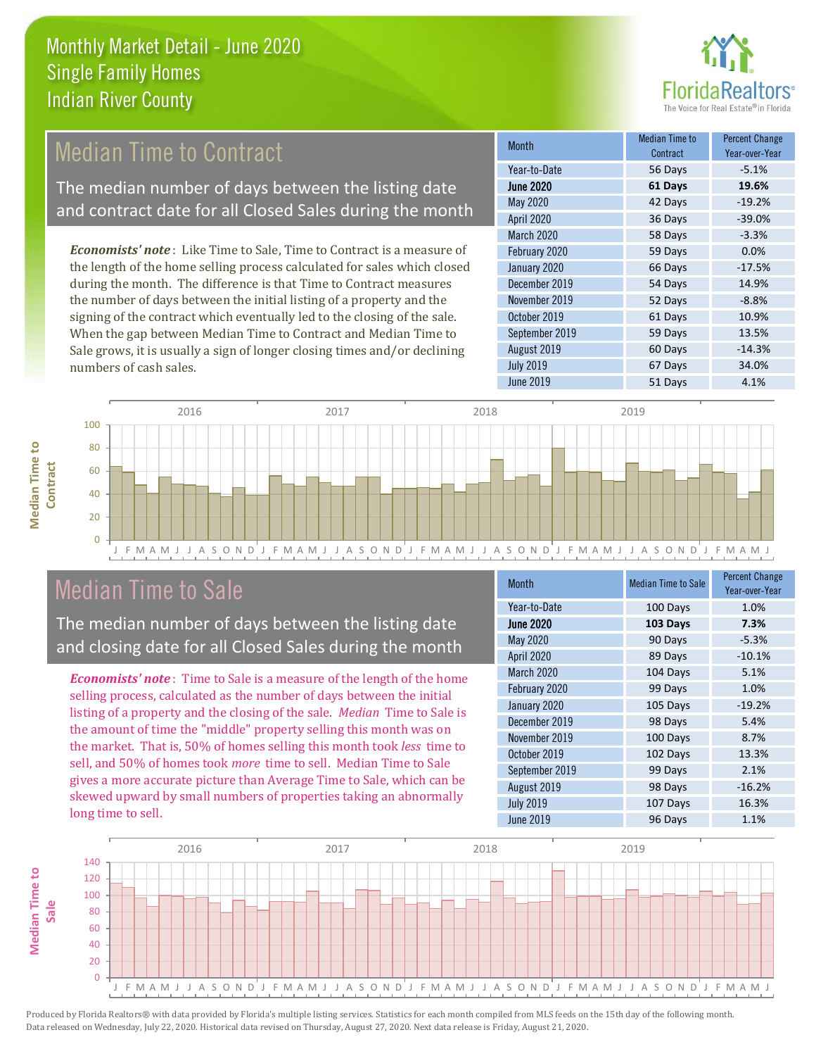

# **Median Time to Contract**

The median number of days between the listing date and contract date for all Closed Sales during the month

*Economists' note* : Like Time to Sale, Time to Contract is a measure of the length of the home selling process calculated for sales which closed during the month. The difference is that Time to Contract measures the number of days between the initial listing of a property and the signing of the contract which eventually led to the closing of the sale. When the gap between Median Time to Contract and Median Time to Sale grows, it is usually a sign of longer closing times and/or declining numbers of cash sales.

| <b>Month</b>      | Median Time to<br>Contract | <b>Percent Change</b><br>Year-over-Year |
|-------------------|----------------------------|-----------------------------------------|
| Year-to-Date      | 56 Days                    | $-5.1%$                                 |
| <b>June 2020</b>  | 61 Days                    | 19.6%                                   |
| May 2020          | 42 Days                    | $-19.2%$                                |
| <b>April 2020</b> | 36 Days                    | $-39.0%$                                |
| March 2020        | 58 Days                    | $-3.3%$                                 |
| February 2020     | 59 Days                    | 0.0%                                    |
| January 2020      | 66 Days                    | $-17.5%$                                |
| December 2019     | 54 Days                    | 14.9%                                   |
| November 2019     | 52 Days                    | $-8.8%$                                 |
| October 2019      | 61 Days                    | 10.9%                                   |
| September 2019    | 59 Days                    | 13.5%                                   |
| August 2019       | 60 Days                    | $-14.3%$                                |
| <b>July 2019</b>  | 67 Days                    | 34.0%                                   |
| <b>June 2019</b>  | 51 Days                    | 4.1%                                    |



# Median Time to Sale

**Median Time to** 

**Median Time to** 

The median number of days between the listing date and closing date for all Closed Sales during the month

*Economists' note* : Time to Sale is a measure of the length of the home selling process, calculated as the number of days between the initial listing of a property and the closing of the sale. *Median* Time to Sale is the amount of time the "middle" property selling this month was on the market. That is, 50% of homes selling this month took *less* time to sell, and 50% of homes took *more* time to sell. Median Time to Sale gives a more accurate picture than Average Time to Sale, which can be skewed upward by small numbers of properties taking an abnormally long time to sell.

| <b>Month</b>      | <b>Median Time to Sale</b> | <b>Percent Change</b><br>Year-over-Year |
|-------------------|----------------------------|-----------------------------------------|
| Year-to-Date      | 100 Days                   | 1.0%                                    |
| <b>June 2020</b>  | 103 Days                   | 7.3%                                    |
| May 2020          | 90 Days                    | $-5.3%$                                 |
| <b>April 2020</b> | 89 Days                    | $-10.1%$                                |
| March 2020        | 104 Days                   | 5.1%                                    |
| February 2020     | 99 Days                    | 1.0%                                    |
| January 2020      | 105 Days                   | $-19.2%$                                |
| December 2019     | 98 Days                    | 5.4%                                    |
| November 2019     | 100 Days                   | 8.7%                                    |
| October 2019      | 102 Days                   | 13.3%                                   |
| September 2019    | 99 Days                    | 2.1%                                    |
| August 2019       | 98 Days                    | $-16.2%$                                |
| <b>July 2019</b>  | 107 Days                   | 16.3%                                   |
| <b>June 2019</b>  | 96 Days                    | 1.1%                                    |

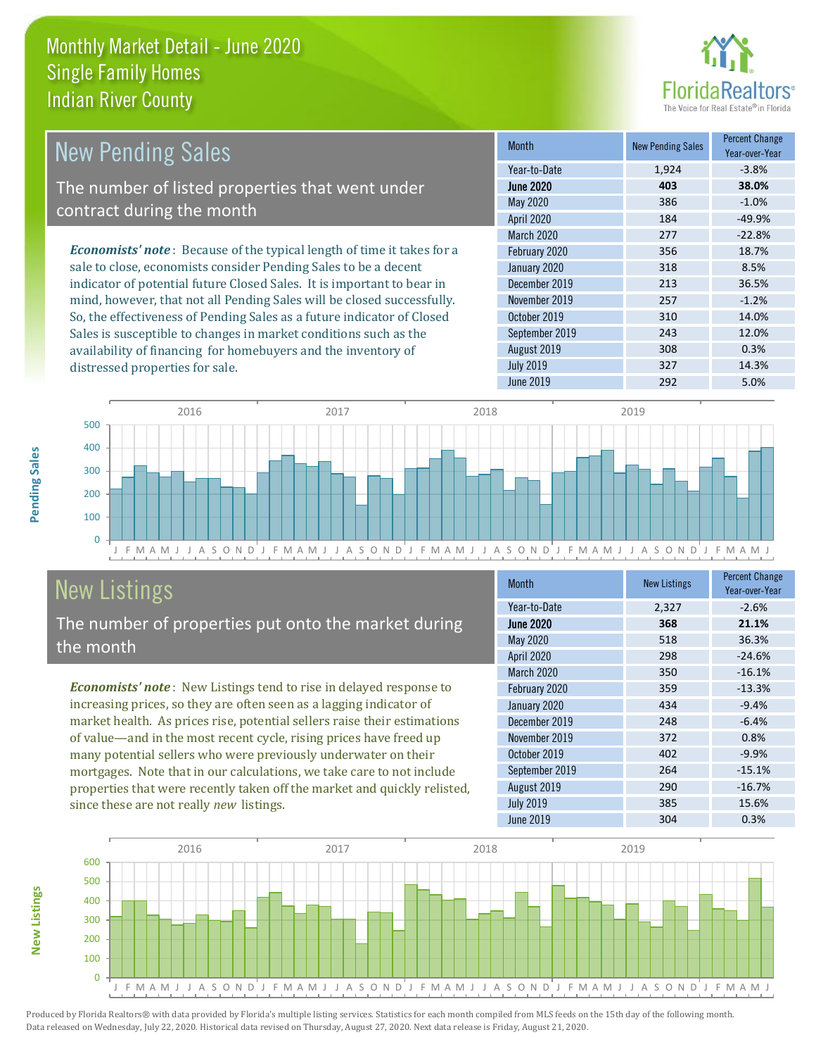distressed properties for sale.



| <b>New Pending Sales</b>                                                       | <b>Month</b>      | <b>New Pending Sales</b> | <b>Percent Change</b><br>Year-over-Year |
|--------------------------------------------------------------------------------|-------------------|--------------------------|-----------------------------------------|
|                                                                                | Year-to-Date      | 1.924                    | $-3.8%$                                 |
| The number of listed properties that went under                                | <b>June 2020</b>  | 403                      | 38.0%                                   |
| contract during the month                                                      | May 2020          | 386                      | $-1.0%$                                 |
|                                                                                | <b>April 2020</b> | 184                      | $-49.9%$                                |
|                                                                                | <b>March 2020</b> | 277                      | $-22.8%$                                |
| <b>Economists' note</b> : Because of the typical length of time it takes for a | February 2020     | 356                      | 18.7%                                   |
| sale to close, economists consider Pending Sales to be a decent                | January 2020      | 318                      | 8.5%                                    |
| indicator of potential future Closed Sales. It is important to bear in         | December 2019     | 213                      | 36.5%                                   |
| mind, however, that not all Pending Sales will be closed successfully.         | November 2019     | 257                      | $-1.2%$                                 |
| So, the effectiveness of Pending Sales as a future indicator of Closed         | October 2019      | 310                      | 14.0%                                   |
| Sales is susceptible to changes in market conditions such as the               | September 2019    | 243                      | 12.0%                                   |



# New Listings

The number of properties put onto the market during the month

availability of financing for homebuyers and the inventory of

*Economists' note* : New Listings tend to rise in delayed response to increasing prices, so they are often seen as a lagging indicator of market health. As prices rise, potential sellers raise their estimations of value—and in the most recent cycle, rising prices have freed up many potential sellers who were previously underwater on their mortgages. Note that in our calculations, we take care to not include properties that were recently taken off the market and quickly relisted, since these are not really *new* listings.

| <b>Month</b>      | <b>New Listings</b> | <b>Percent Change</b><br>Year-over-Year |
|-------------------|---------------------|-----------------------------------------|
| Year-to-Date      | 2,327               | $-2.6%$                                 |
| <b>June 2020</b>  | 368                 | 21.1%                                   |
| <b>May 2020</b>   | 518                 | 36.3%                                   |
| <b>April 2020</b> | 298                 | $-24.6%$                                |
| March 2020        | 350                 | $-16.1%$                                |
| February 2020     | 359                 | $-13.3%$                                |
| January 2020      | 434                 | $-9.4%$                                 |
| December 2019     | 248                 | $-6.4%$                                 |
| November 2019     | 372                 | 0.8%                                    |
| October 2019      | 402                 | $-9.9%$                                 |
| September 2019    | 264                 | $-15.1%$                                |
| August 2019       | 290                 | $-16.7%$                                |
| <b>July 2019</b>  | 385                 | 15.6%                                   |
| June 2019         | 304                 | 0.3%                                    |

August 2019 **308** 0.3% July 2019 **327** 14.3% June 2019 292 5.0%



**New Listings**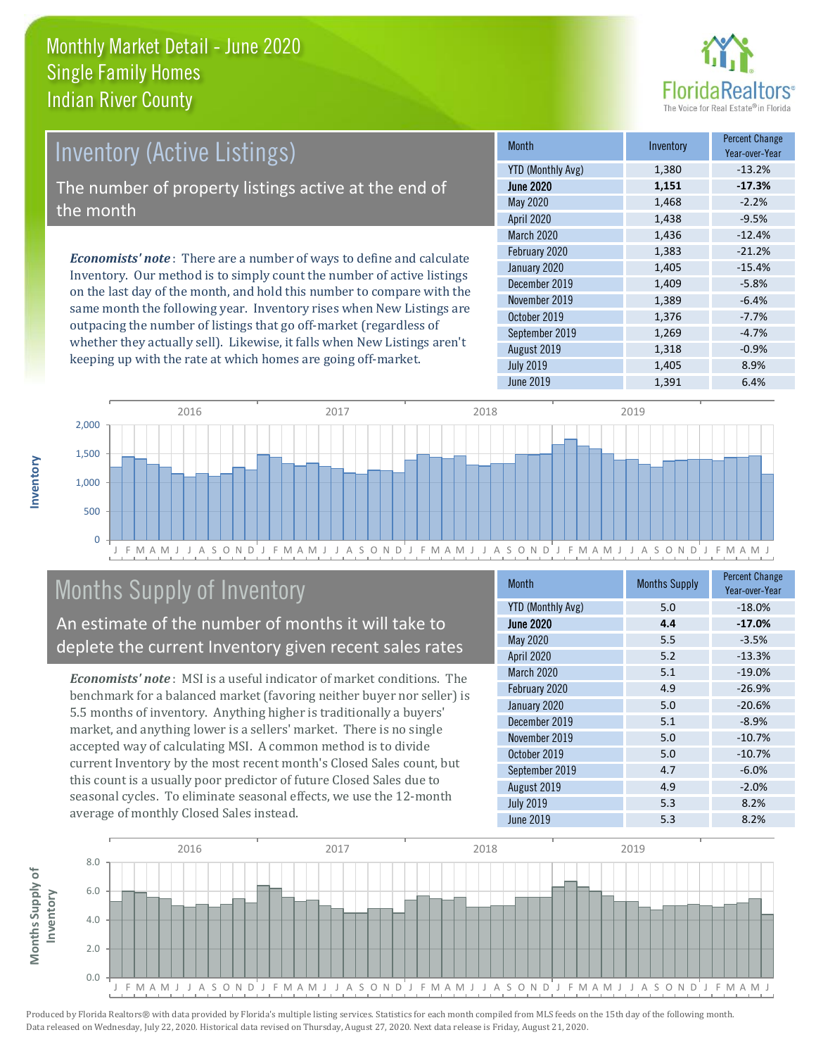

# Inventory (Active Listings)

The number of property listings active at the end of the month

*Economists' note* : There are a number of ways to define and calculate Inventory. Our method is to simply count the number of active listings on the last day of the month, and hold this number to compare with the same month the following year. Inventory rises when New Listings are outpacing the number of listings that go off-market (regardless of whether they actually sell). Likewise, it falls when New Listings aren't keeping up with the rate at which homes are going off-market.

| <b>Month</b>             | Inventory | <b>Percent Change</b><br>Year-over-Year |
|--------------------------|-----------|-----------------------------------------|
| <b>YTD (Monthly Avg)</b> | 1,380     | $-13.2%$                                |
| <b>June 2020</b>         | 1,151     | $-17.3%$                                |
| May 2020                 | 1,468     | $-2.2%$                                 |
| <b>April 2020</b>        | 1,438     | $-9.5%$                                 |
| <b>March 2020</b>        | 1,436     | $-12.4%$                                |
| February 2020            | 1,383     | $-21.2%$                                |
| January 2020             | 1,405     | $-15.4%$                                |
| December 2019            | 1,409     | $-5.8%$                                 |
| November 2019            | 1,389     | $-6.4%$                                 |
| October 2019             | 1,376     | $-7.7%$                                 |
| September 2019           | 1,269     | $-4.7%$                                 |
| August 2019              | 1,318     | $-0.9%$                                 |
| <b>July 2019</b>         | 1,405     | 8.9%                                    |
| June 2019                | 1,391     | 6.4%                                    |



# Months Supply of Inventory

An estimate of the number of months it will take to deplete the current Inventory given recent sales rates

*Economists' note* : MSI is a useful indicator of market conditions. The benchmark for a balanced market (favoring neither buyer nor seller) is 5.5 months of inventory. Anything higher is traditionally a buyers' market, and anything lower is a sellers' market. There is no single accepted way of calculating MSI. A common method is to divide current Inventory by the most recent month's Closed Sales count, but this count is a usually poor predictor of future Closed Sales due to seasonal cycles. To eliminate seasonal effects, we use the 12-month average of monthly Closed Sales instead.

| Month                    | <b>Months Supply</b> | <b>Percent Change</b><br>Year-over-Year |
|--------------------------|----------------------|-----------------------------------------|
| <b>YTD (Monthly Avg)</b> | 5.0                  | $-18.0%$                                |
| <b>June 2020</b>         | 4.4                  | $-17.0%$                                |
| May 2020                 | 5.5                  | $-3.5%$                                 |
| <b>April 2020</b>        | 5.2                  | $-13.3%$                                |
| March 2020               | 5.1                  | $-19.0%$                                |
| February 2020            | 4.9                  | $-26.9%$                                |
| January 2020             | 5.0                  | $-20.6%$                                |
| December 2019            | 5.1                  | $-8.9%$                                 |
| November 2019            | 5.0                  | $-10.7%$                                |
| October 2019             | 5.0                  | $-10.7%$                                |
| September 2019           | 4.7                  | $-6.0%$                                 |
| August 2019              | 4.9                  | $-2.0%$                                 |
| <b>July 2019</b>         | 5.3                  | 8.2%                                    |
| <b>June 2019</b>         | 5.3                  | 8.2%                                    |

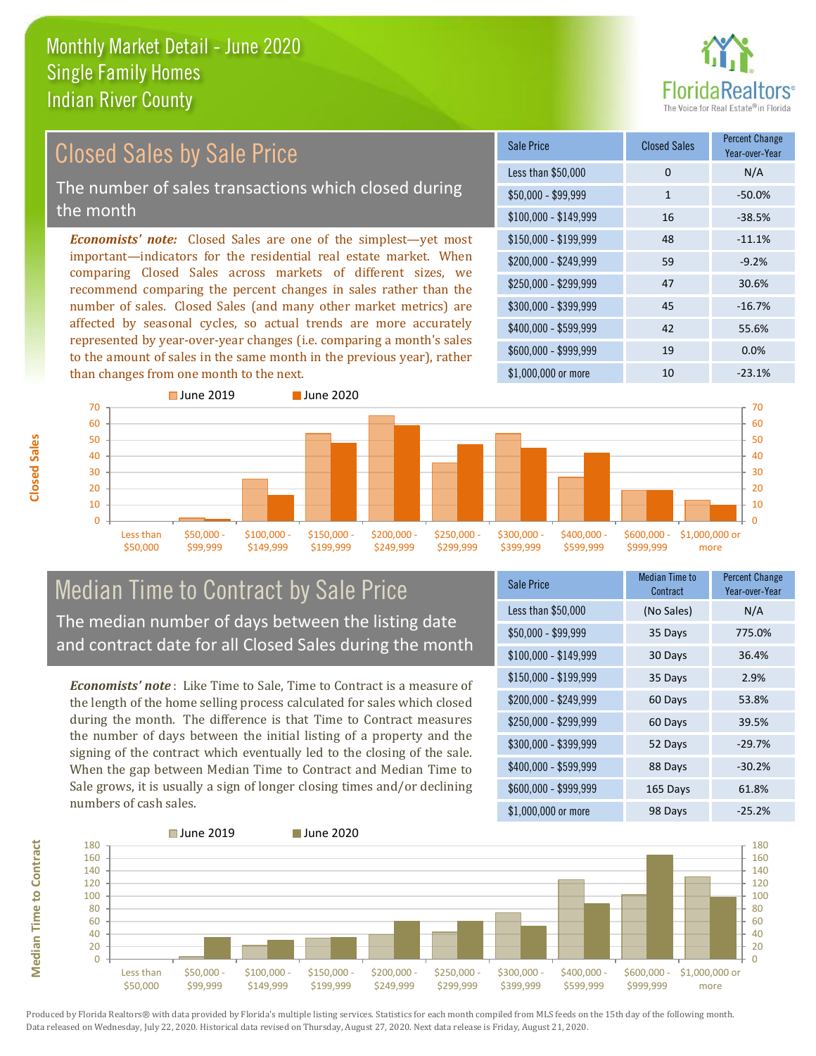

#### *Economists' note:* Closed Sales are one of the simplest—yet most important—indicators for the residential real estate market. When comparing Closed Sales across markets of different sizes, we recommend comparing the percent changes in sales rather than the number of sales. Closed Sales (and many other market metrics) are affected by seasonal cycles, so actual trends are more accurately represented by year-over-year changes (i.e. comparing a month's sales to the amount of sales in the same month in the previous year), rather than changes from one month to the next. \$1,000,000 or more 10 10 -23.1% \$250,000 - \$299,999 47 30.6% \$300,000 - \$399,999 45 -16.7% \$400,000 - \$599,999 42 55.6% \$600,000 - \$999,999 19 0.0% \$150,000 - \$199,999 48 -11.1% \$200,000 - \$249,999 59 -9.2%  $$100,000 - $149,999$  16 -38.5% Sale Price Closed Sales Percent Change Year-over-Year Less than \$50,000 0 0 N/A  $$50.000 - $99.999$  1 -50.0% ■ June 2019 **■ June 2020** Closed Sales by Sale Price The number of sales transactions which closed during the month



### Median Time to Contract by Sale Price The median number of days between the listing date and contract date for all Closed Sales during the month

*Economists' note* : Like Time to Sale, Time to Contract is a measure of the length of the home selling process calculated for sales which closed during the month. The difference is that Time to Contract measures the number of days between the initial listing of a property and the signing of the contract which eventually led to the closing of the sale. When the gap between Median Time to Contract and Median Time to Sale grows, it is usually a sign of longer closing times and/or declining numbers of cash sales.

| <b>Sale Price</b>     | <b>Median Time to</b><br>Contract | <b>Percent Change</b><br>Year-over-Year |
|-----------------------|-----------------------------------|-----------------------------------------|
| Less than \$50,000    | (No Sales)                        | N/A                                     |
| $$50,000 - $99,999$   | 35 Days                           | 775.0%                                  |
| $$100,000 - $149,999$ | 30 Days                           | 36.4%                                   |
| $$150,000 - $199,999$ | 35 Days                           | 2.9%                                    |
| \$200,000 - \$249,999 | 60 Days                           | 53.8%                                   |
| \$250,000 - \$299,999 | 60 Days                           | 39.5%                                   |
| \$300,000 - \$399,999 | 52 Days                           | $-29.7%$                                |
| \$400,000 - \$599,999 | 88 Days                           | $-30.2%$                                |
| \$600,000 - \$999,999 | 165 Days                          | 61.8%                                   |
| \$1,000,000 or more   | 98 Days                           | $-25.2%$                                |

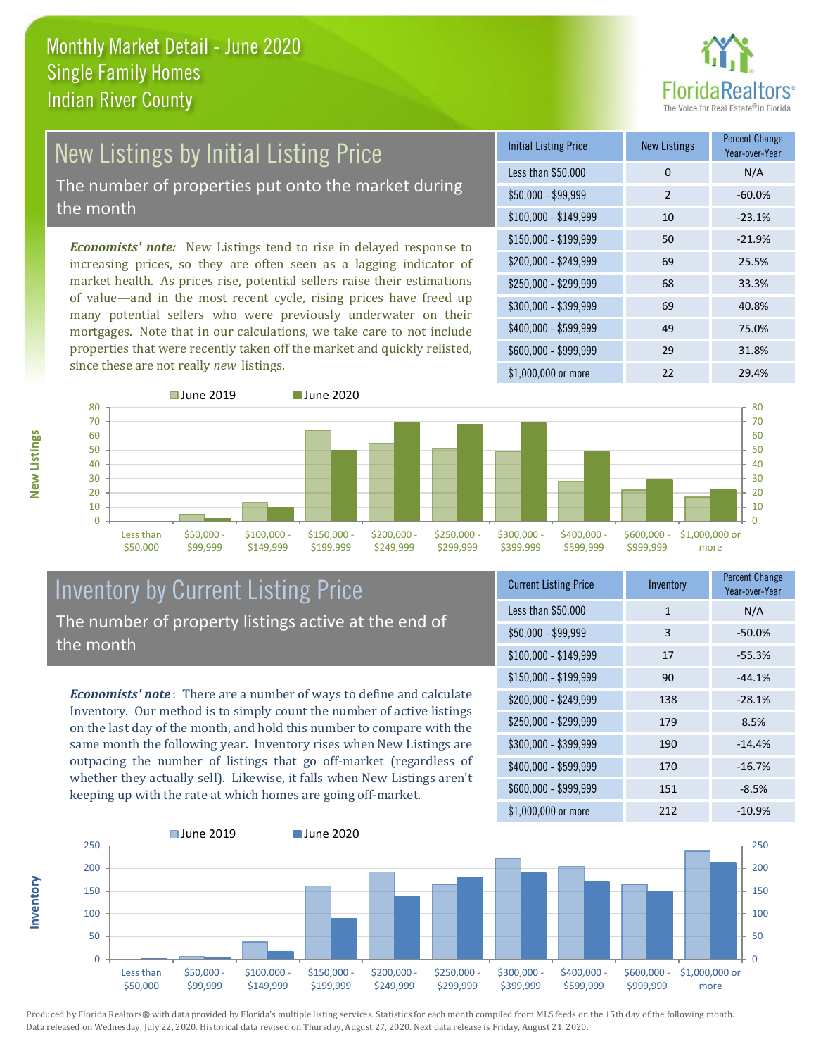

# New Listings by Initial Listing Price The number of properties put onto the market during

the month

*Economists' note:* New Listings tend to rise in delayed response to increasing prices, so they are often seen as a lagging indicator of market health. As prices rise, potential sellers raise their estimations of value—and in the most recent cycle, rising prices have freed up many potential sellers who were previously underwater on their mortgages. Note that in our calculations, we take care to not include properties that were recently taken off the market and quickly relisted, since these are not really *new* listings.

| <b>Initial Listing Price</b> | <b>New Listings</b> | <b>Percent Change</b><br>Year-over-Year |
|------------------------------|---------------------|-----------------------------------------|
| Less than \$50,000           | 0                   | N/A                                     |
| $$50,000 - $99,999$          | $\mathcal{P}$       | $-60.0%$                                |
| $$100,000 - $149,999$        | 10                  | $-23.1%$                                |
| $$150,000 - $199,999$        | 50                  | $-21.9%$                                |
| \$200,000 - \$249,999        | 69                  | 25.5%                                   |
| \$250,000 - \$299,999        | 68                  | 33.3%                                   |
| \$300,000 - \$399,999        | 69                  | 40.8%                                   |
| \$400,000 - \$599,999        | 49                  | 75.0%                                   |
| \$600,000 - \$999,999        | 29                  | 31.8%                                   |
| \$1,000,000 or more          | 22                  | 29.4%                                   |



### Inventory by Current Listing Price The number of property listings active at the end of the month

*Economists' note* : There are a number of ways to define and calculate Inventory. Our method is to simply count the number of active listings on the last day of the month, and hold this number to compare with the same month the following year. Inventory rises when New Listings are outpacing the number of listings that go off-market (regardless of whether they actually sell). Likewise, it falls when New Listings aren't keeping up with the rate at which homes are going off-market.

| <b>Current Listing Price</b> | Inventory    | <b>Percent Change</b><br>Year-over-Year |
|------------------------------|--------------|-----------------------------------------|
| Less than \$50,000           | $\mathbf{1}$ | N/A                                     |
| $$50,000 - $99,999$          | 3            | $-50.0%$                                |
| $$100,000 - $149,999$        | 17           | $-55.3%$                                |
| \$150,000 - \$199,999        | 90           | $-44.1%$                                |
| \$200,000 - \$249,999        | 138          | $-28.1%$                                |
| \$250,000 - \$299,999        | 179          | 8.5%                                    |
| \$300,000 - \$399,999        | 190          | $-14.4%$                                |
| \$400,000 - \$599,999        | 170          | $-16.7%$                                |
| \$600,000 - \$999,999        | 151          | $-8.5%$                                 |
| \$1,000,000 or more          | 212          | $-10.9%$                                |



Produced by Florida Realtors® with data provided by Florida's multiple listing services. Statistics for each month compiled from MLS feeds on the 15th day of the following month. Data released on Wednesday, July 22, 2020. Historical data revised on Thursday, August 27, 2020. Next data release is Friday, August 21, 2020.

**Inventory**